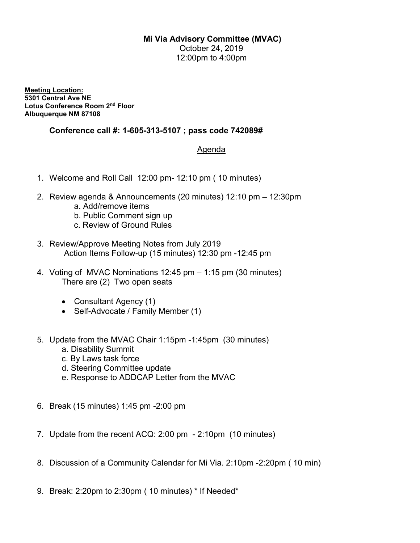## Mi Via Advisory Committee (MVAC)

October 24, 2019 12:00pm to 4:00pm

Meeting Location: 5301 Central Ave NE Lotus Conference Room 2nd Floor Albuquerque NM 87108

## Conference call #: 1-605-313-5107 ; pass code 742089#

## Agenda

- 1. Welcome and Roll Call 12:00 pm- 12:10 pm ( 10 minutes)
- 2. Review agenda & Announcements (20 minutes) 12:10 pm 12:30pm
	- a. Add/remove items
	- b. Public Comment sign up
	- c. Review of Ground Rules
- 3. Review/Approve Meeting Notes from July 2019 Action Items Follow-up (15 minutes) 12:30 pm -12:45 pm
- 4. Voting of MVAC Nominations 12:45 pm 1:15 pm (30 minutes) There are (2) Two open seats
	- Consultant Agency (1)
	- Self-Advocate / Family Member (1)
- 5. Update from the MVAC Chair 1:15pm -1:45pm (30 minutes)
	- a. Disability Summit
	- c. By Laws task force
	- d. Steering Committee update
	- e. Response to ADDCAP Letter from the MVAC
- 6. Break (15 minutes) 1:45 pm -2:00 pm
- 7. Update from the recent ACQ: 2:00 pm 2:10pm (10 minutes)
- 8. Discussion of a Community Calendar for Mi Via. 2:10pm -2:20pm ( 10 min)
- 9. Break: 2:20pm to 2:30pm ( 10 minutes) \* If Needed\*